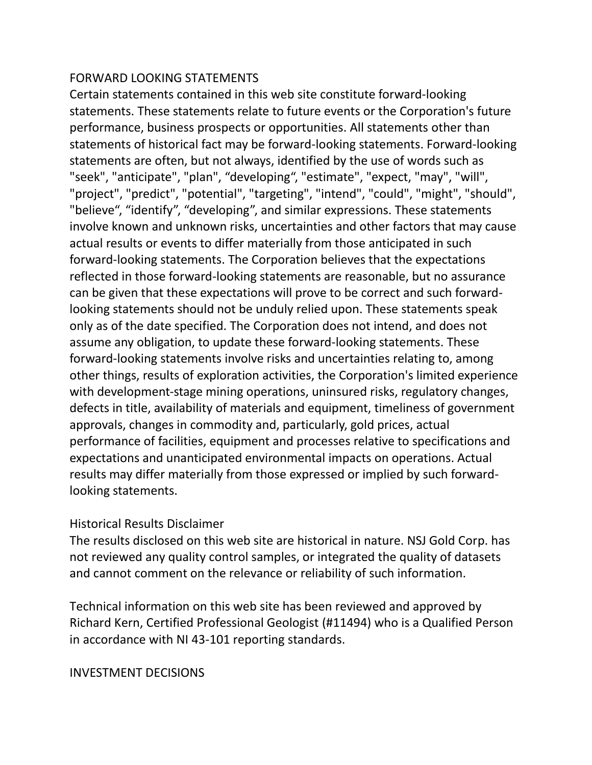## FORWARD LOOKING STATEMENTS

Certain statements contained in this web site constitute forward-looking statements. These statements relate to future events or the Corporation's future performance, business prospects or opportunities. All statements other than statements of historical fact may be forward-looking statements. Forward-looking statements are often, but not always, identified by the use of words such as "seek", "anticipate", "plan", "developing", "estimate", "expect, "may", "will", "project", "predict", "potential", "targeting", "intend", "could", "might", "should", "believe", "identify", "developing", and similar expressions. These statements involve known and unknown risks, uncertainties and other factors that may cause actual results or events to differ materially from those anticipated in such forward-looking statements. The Corporation believes that the expectations reflected in those forward-looking statements are reasonable, but no assurance can be given that these expectations will prove to be correct and such forwardlooking statements should not be unduly relied upon. These statements speak only as of the date specified. The Corporation does not intend, and does not assume any obligation, to update these forward-looking statements. These forward-looking statements involve risks and uncertainties relating to, among other things, results of exploration activities, the Corporation's limited experience with development-stage mining operations, uninsured risks, regulatory changes, defects in title, availability of materials and equipment, timeliness of government approvals, changes in commodity and, particularly, gold prices, actual performance of facilities, equipment and processes relative to specifications and expectations and unanticipated environmental impacts on operations. Actual results may differ materially from those expressed or implied by such forwardlooking statements.

## Historical Results Disclaimer

The results disclosed on this web site are historical in nature. NSJ Gold Corp. has not reviewed any quality control samples, or integrated the quality of datasets and cannot comment on the relevance or reliability of such information.

Technical information on this web site has been reviewed and approved by Richard Kern, Certified Professional Geologist (#11494) who is a Qualified Person in accordance with NI 43-101 reporting standards.

## INVESTMENT DECISIONS